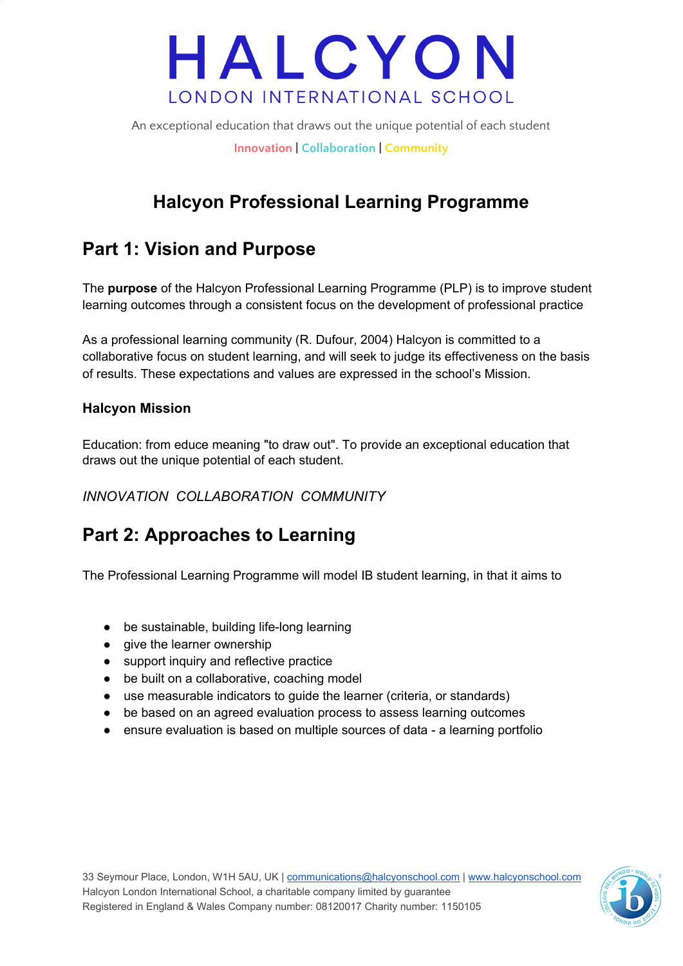An exceptional education that draws out the unique potential of each student **Innovation | Collaboration | Community**

### **Halcyon Professional Learning Programme**

### **Part 1: Vision and Purpose**

The **purpose** of the Halcyon Professional Learning Programme (PLP) is to improve student learning outcomes through a consistent focus on the development of professional practice

As a professional learning community (R. Dufour, 2004) Halcyon is committed to a collaborative focus on student learning, and will seek to judge its effectiveness on the basis of results. These expectations and values are expressed in the school's Mission.

#### **Halcyon Mission**

Education: from educe meaning "to draw out". To provide an exceptional education that draws out the unique potential of each student.

*INNOVATION COLLABORATION COMMUNITY*

### **Part 2: Approaches to Learning**

The Professional Learning Programme will model IB student learning, in that it aims to

- be sustainable, building life-long learning
- give the learner ownership
- support inquiry and reflective practice
- be built on a collaborative, coaching model
- use measurable indicators to guide the learner (criteria, or standards)
- be based on an agreed evaluation process to assess learning outcomes
- ensure evaluation is based on multiple sources of data a learning portfolio

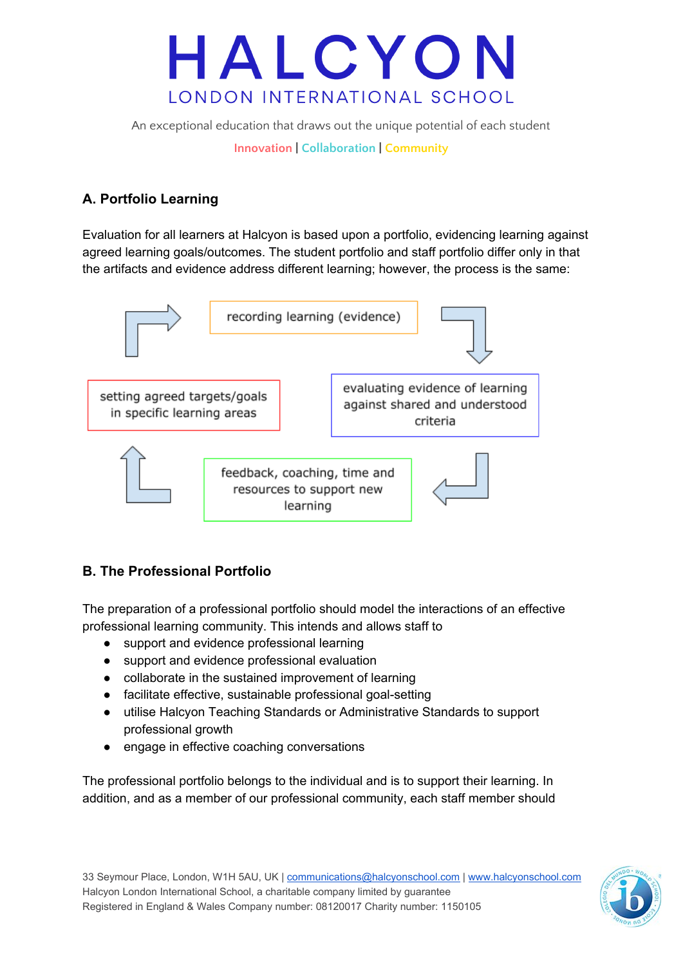An exceptional education that draws out the unique potential of each student

**Innovation | Collaboration | Community**

#### **A. Portfolio Learning**

Evaluation for all learners at Halcyon is based upon a portfolio, evidencing learning against agreed learning goals/outcomes. The student portfolio and staff portfolio differ only in that the artifacts and evidence address different learning; however, the process is the same:



#### **B. The Professional Portfolio**

The preparation of a professional portfolio should model the interactions of an effective professional learning community. This intends and allows staff to

- support and evidence professional learning
- support and evidence professional evaluation
- collaborate in the sustained improvement of learning
- facilitate effective, sustainable professional goal-setting
- utilise Halcyon Teaching Standards or Administrative Standards to support professional growth
- engage in effective coaching conversations

The professional portfolio belongs to the individual and is to support their learning. In addition, and as a member of our professional community, each staff member should

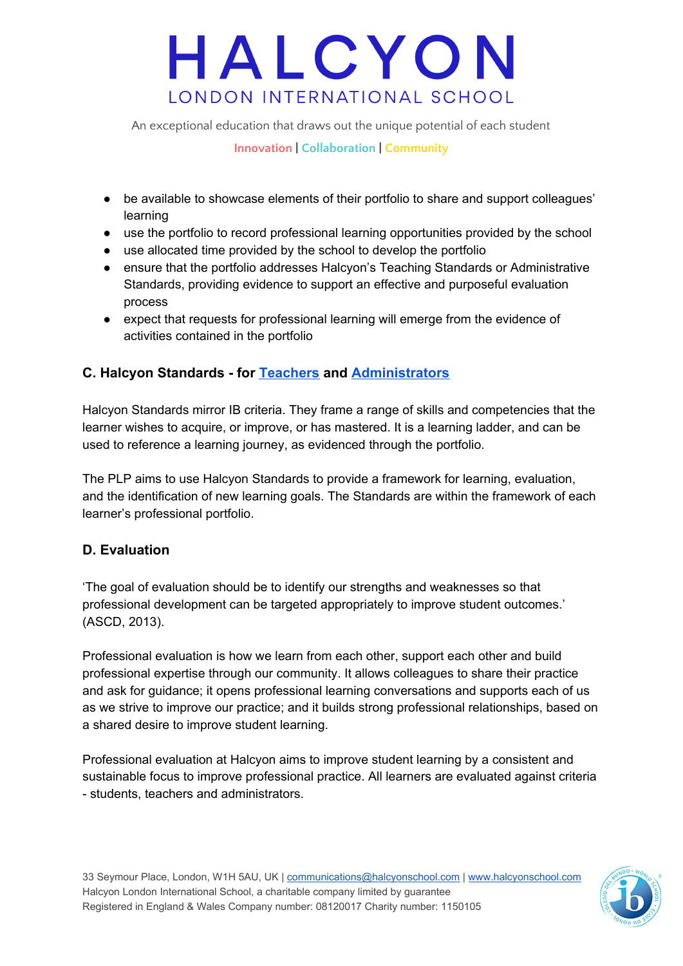An exceptional education that draws out the unique potential of each student

**Innovation | Collaboration | Community**

- be available to showcase elements of their portfolio to share and support colleagues' learning
- use the portfolio to record professional learning opportunities provided by the school
- use allocated time provided by the school to develop the portfolio
- ensure that the portfolio addresses Halcyon's Teaching Standards or Administrative Standards, providing evidence to support an effective and purposeful evaluation process
- expect that requests for professional learning will emerge from the evidence of activities contained in the portfolio

### **C. Halcyon Standards - for [Teachers](https://drive.google.com/a/halcyonschool.com/file/d/0B3lvVanKfB8IU3V5QnU1WlZBUjA/view?usp=sharing) and [Administrators](https://drive.google.com/a/halcyonschool.com/file/d/0B3lvVanKfB8IVHFZRzloc0o5a28/view?usp=sharing)**

Halcyon Standards mirror IB criteria. They frame a range of skills and competencies that the learner wishes to acquire, or improve, or has mastered. It is a learning ladder, and can be used to reference a learning journey, as evidenced through the portfolio.

The PLP aims to use Halcyon Standards to provide a framework for learning, evaluation, and the identification of new learning goals. The Standards are within the framework of each learner's professional portfolio.

### **D. Evaluation**

'The goal of evaluation should be to identify our strengths and weaknesses so that professional development can be targeted appropriately to improve student outcomes.' (ASCD, 2013).

Professional evaluation is how we learn from each other, support each other and build professional expertise through our community. It allows colleagues to share their practice and ask for guidance; it opens professional learning conversations and supports each of us as we strive to improve our practice; and it builds strong professional relationships, based on a shared desire to improve student learning.

Professional evaluation at Halcyon aims to improve student learning by a consistent and sustainable focus to improve professional practice. All learners are evaluated against criteria - students, teachers and administrators.

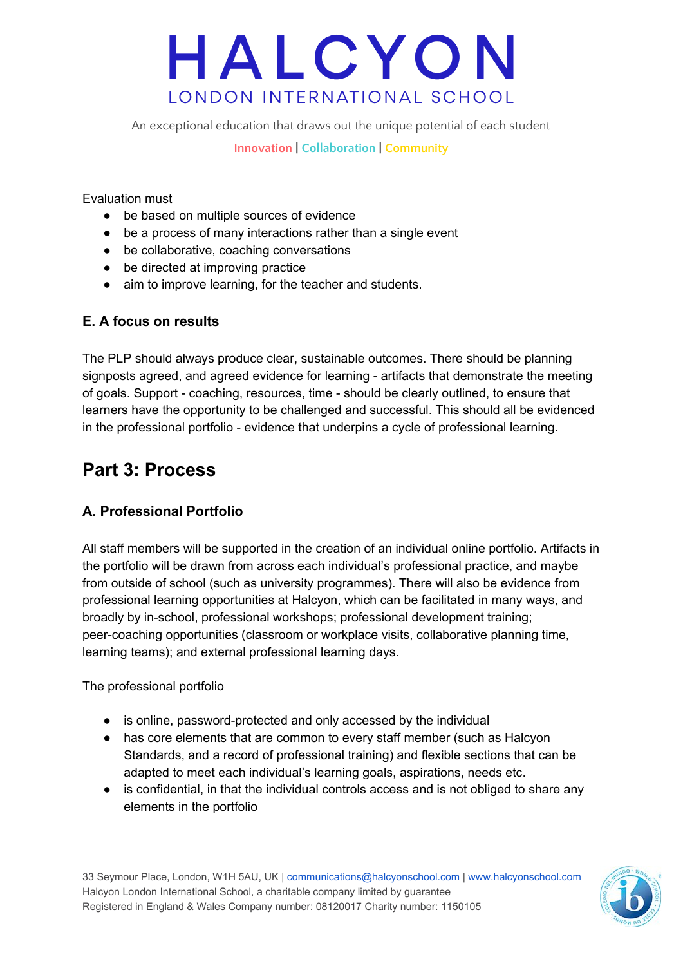An exceptional education that draws out the unique potential of each student

**Innovation | Collaboration | Community**

Evaluation must

- be based on multiple sources of evidence
- be a process of many interactions rather than a single event
- be collaborative, coaching conversations
- be directed at improving practice
- aim to improve learning, for the teacher and students.

#### **E. A focus on results**

The PLP should always produce clear, sustainable outcomes. There should be planning signposts agreed, and agreed evidence for learning - artifacts that demonstrate the meeting of goals. Support - coaching, resources, time - should be clearly outlined, to ensure that learners have the opportunity to be challenged and successful. This should all be evidenced in the professional portfolio - evidence that underpins a cycle of professional learning.

### **Part 3: Process**

#### **A. Professional Portfolio**

All staff members will be supported in the creation of an individual online portfolio. Artifacts in the portfolio will be drawn from across each individual's professional practice, and maybe from outside of school (such as university programmes). There will also be evidence from professional learning opportunities at Halcyon, which can be facilitated in many ways, and broadly by in-school, professional workshops; professional development training; peer-coaching opportunities (classroom or workplace visits, collaborative planning time, learning teams); and external professional learning days.

The professional portfolio

- is online, password-protected and only accessed by the individual
- has core elements that are common to every staff member (such as Halcyon Standards, and a record of professional training) and flexible sections that can be adapted to meet each individual's learning goals, aspirations, needs etc.
- is confidential, in that the individual controls access and is not obliged to share any elements in the portfolio

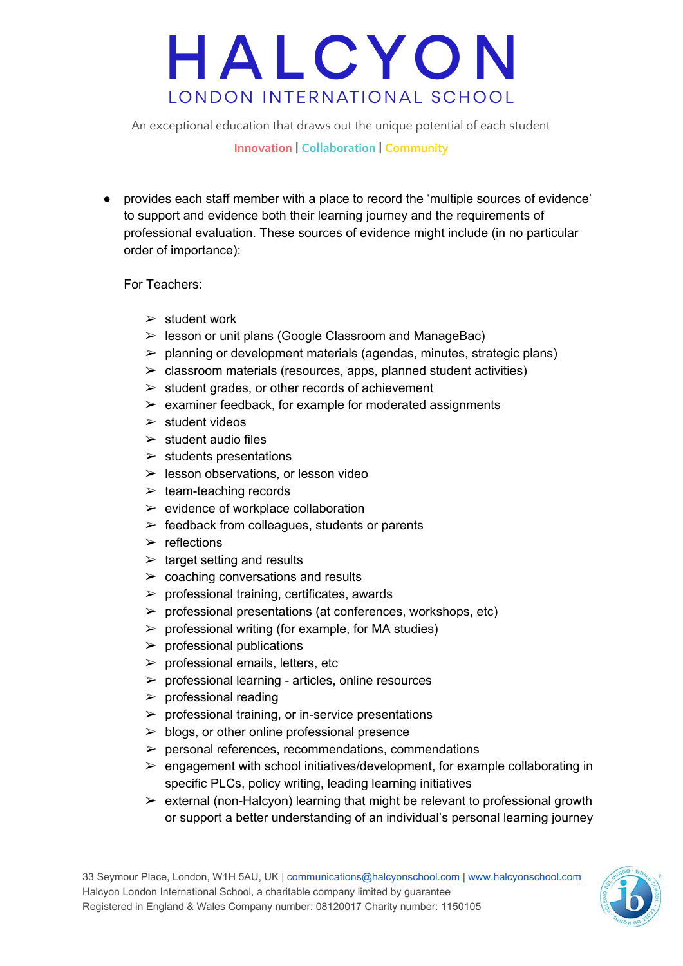An exceptional education that draws out the unique potential of each student

#### **Innovation | Collaboration | Community**

● provides each staff member with a place to record the 'multiple sources of evidence' to support and evidence both their learning journey and the requirements of professional evaluation. These sources of evidence might include (in no particular order of importance):

For Teachers:

- $\triangleright$  student work
- $\triangleright$  lesson or unit plans (Google Classroom and ManageBac)
- $\triangleright$  planning or development materials (agendas, minutes, strategic plans)
- $\triangleright$  classroom materials (resources, apps, planned student activities)
- $\triangleright$  student grades, or other records of achievement
- $\triangleright$  examiner feedback, for example for moderated assignments
- $\triangleright$  student videos
- $\ge$  student audio files
- $\triangleright$  students presentations
- $\triangleright$  lesson observations, or lesson video
- $\geq$  team-teaching records
- $\triangleright$  evidence of workplace collaboration
- $\triangleright$  feedback from colleagues, students or parents
- $\triangleright$  reflections
- $\triangleright$  target setting and results
- $\triangleright$  coaching conversations and results
- $\triangleright$  professional training, certificates, awards
- $\triangleright$  professional presentations (at conferences, workshops, etc)
- $\triangleright$  professional writing (for example, for MA studies)
- $\triangleright$  professional publications
- $\triangleright$  professional emails, letters, etc
- $\triangleright$  professional learning articles, online resources
- $\triangleright$  professional reading
- $\triangleright$  professional training, or in-service presentations
- $\geq$  blogs, or other online professional presence
- $\triangleright$  personal references, recommendations, commendations
- $\triangleright$  engagement with school initiatives/development, for example collaborating in specific PLCs, policy writing, leading learning initiatives
- $\triangleright$  external (non-Halcyon) learning that might be relevant to professional growth or support a better understanding of an individual's personal learning journey

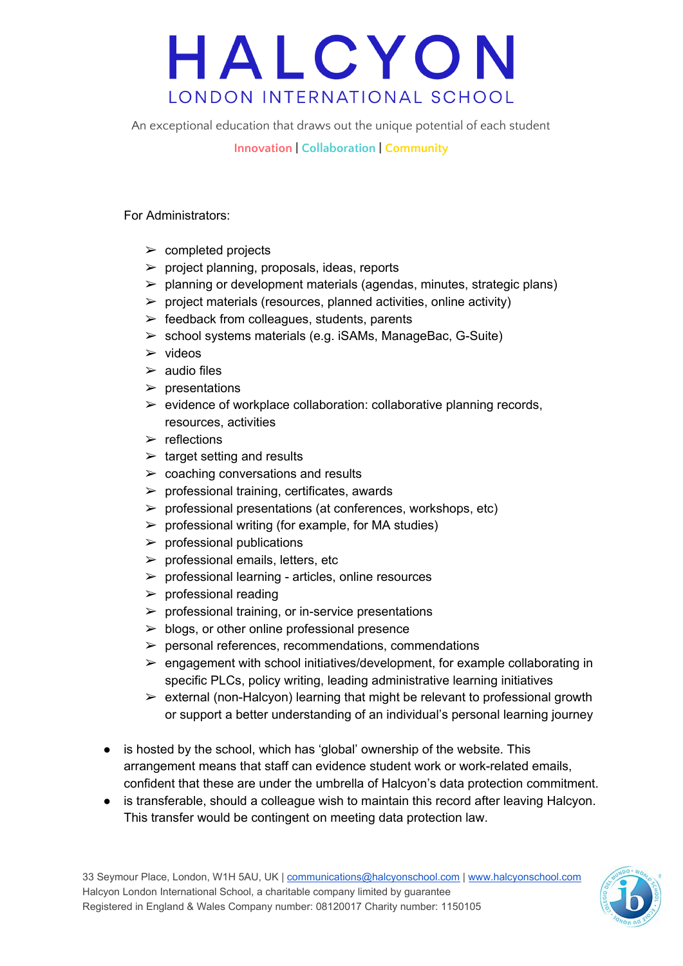An exceptional education that draws out the unique potential of each student

#### **Innovation | Collaboration | Community**

For Administrators:

- $\triangleright$  completed projects
- $\triangleright$  project planning, proposals, ideas, reports
- $\triangleright$  planning or development materials (agendas, minutes, strategic plans)
- $\triangleright$  project materials (resources, planned activities, online activity)
- $\triangleright$  feedback from colleagues, students, parents
- $\triangleright$  school systems materials (e.g. iSAMs, ManageBac, G-Suite)
- $\triangleright$  videos
- $\geq$  audio files
- $\triangleright$  presentations
- $\triangleright$  evidence of workplace collaboration: collaborative planning records, resources, activities
- $\triangleright$  reflections
- $\ge$  target setting and results
- $\geq$  coaching conversations and results
- $\triangleright$  professional training, certificates, awards
- $\triangleright$  professional presentations (at conferences, workshops, etc)
- $\triangleright$  professional writing (for example, for MA studies)
- $\triangleright$  professional publications
- $\blacktriangleright$  professional emails, letters, etc
- $\triangleright$  professional learning articles, online resources
- $\triangleright$  professional reading
- $\triangleright$  professional training, or in-service presentations
- $\triangleright$  blogs, or other online professional presence
- $\triangleright$  personal references, recommendations, commendations
- $\triangleright$  engagement with school initiatives/development, for example collaborating in specific PLCs, policy writing, leading administrative learning initiatives
- $\triangleright$  external (non-Halcyon) learning that might be relevant to professional growth or support a better understanding of an individual's personal learning journey
- is hosted by the school, which has 'global' ownership of the website. This arrangement means that staff can evidence student work or work-related emails, confident that these are under the umbrella of Halcyon's data protection commitment.
- is transferable, should a colleague wish to maintain this record after leaving Halcyon. This transfer would be contingent on meeting data protection law.

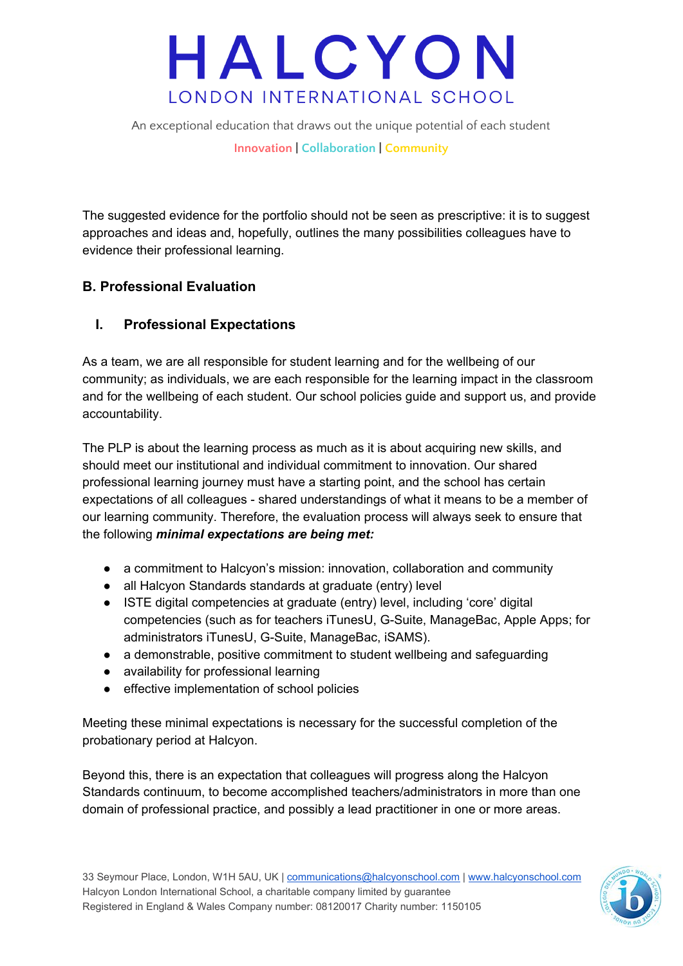An exceptional education that draws out the unique potential of each student

**Innovation | Collaboration | Community**

The suggested evidence for the portfolio should not be seen as prescriptive: it is to suggest approaches and ideas and, hopefully, outlines the many possibilities colleagues have to evidence their professional learning.

#### **B. Professional Evaluation**

#### **I. Professional Expectations**

As a team, we are all responsible for student learning and for the wellbeing of our community; as individuals, we are each responsible for the learning impact in the classroom and for the wellbeing of each student. Our school policies guide and support us, and provide accountability.

The PLP is about the learning process as much as it is about acquiring new skills, and should meet our institutional and individual commitment to innovation. Our shared professional learning journey must have a starting point, and the school has certain expectations of all colleagues - shared understandings of what it means to be a member of our learning community. Therefore, the evaluation process will always seek to ensure that the following *minimal expectations are being met:*

- a commitment to Halcyon's mission: innovation, collaboration and community
- all Halcyon Standards standards at graduate (entry) level
- ISTE digital competencies at graduate (entry) level, including 'core' digital competencies (such as for teachers iTunesU, G-Suite, ManageBac, Apple Apps; for administrators iTunesU, G-Suite, ManageBac, iSAMS).
- a demonstrable, positive commitment to student wellbeing and safeguarding
- availability for professional learning
- effective implementation of school policies

Meeting these minimal expectations is necessary for the successful completion of the probationary period at Halcyon.

Beyond this, there is an expectation that colleagues will progress along the Halcyon Standards continuum, to become accomplished teachers/administrators in more than one domain of professional practice, and possibly a lead practitioner in one or more areas.

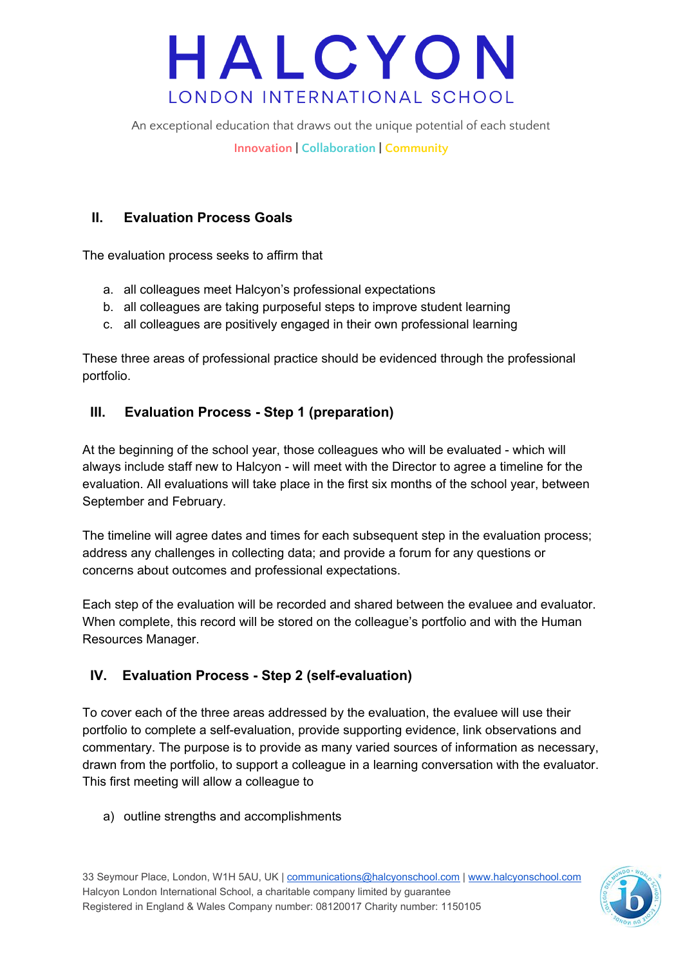An exceptional education that draws out the unique potential of each student

**Innovation | Collaboration | Community**

#### **II. Evaluation Process Goals**

The evaluation process seeks to affirm that

- a. all colleagues meet Halcyon's professional expectations
- b. all colleagues are taking purposeful steps to improve student learning
- c. all colleagues are positively engaged in their own professional learning

These three areas of professional practice should be evidenced through the professional portfolio.

#### **III. Evaluation Process - Step 1 (preparation)**

At the beginning of the school year, those colleagues who will be evaluated - which will always include staff new to Halcyon - will meet with the Director to agree a timeline for the evaluation. All evaluations will take place in the first six months of the school year, between September and February.

The timeline will agree dates and times for each subsequent step in the evaluation process; address any challenges in collecting data; and provide a forum for any questions or concerns about outcomes and professional expectations.

Each step of the evaluation will be recorded and shared between the evaluee and evaluator. When complete, this record will be stored on the colleague's portfolio and with the Human Resources Manager.

#### **IV. Evaluation Process - Step 2 (self-evaluation)**

To cover each of the three areas addressed by the evaluation, the evaluee will use their portfolio to complete a self-evaluation, provide supporting evidence, link observations and commentary. The purpose is to provide as many varied sources of information as necessary, drawn from the portfolio, to support a colleague in a learning conversation with the evaluator. This first meeting will allow a colleague to

a) outline strengths and accomplishments

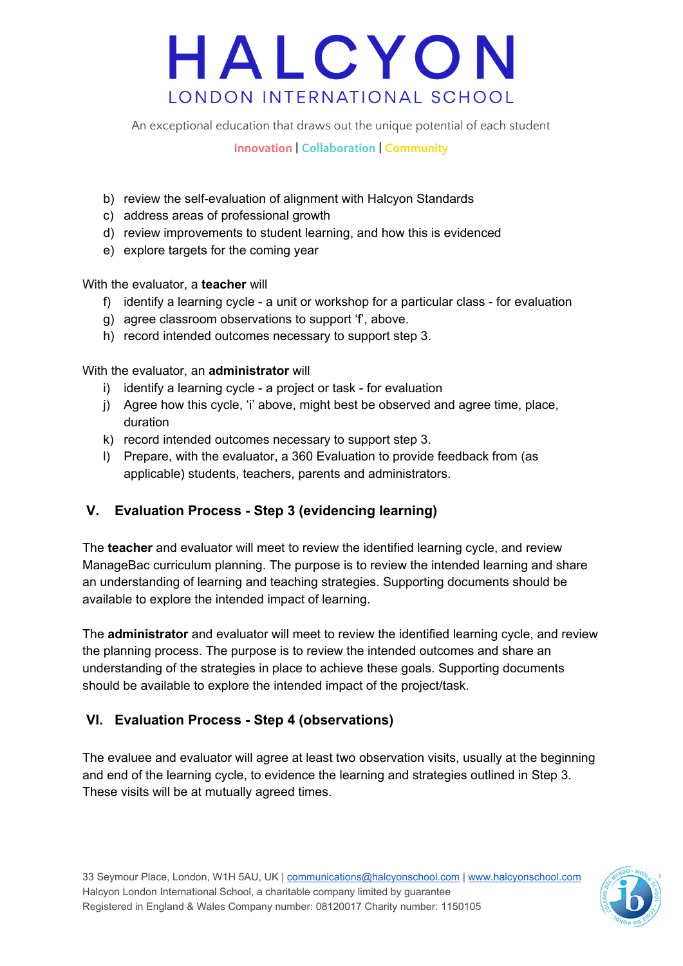An exceptional education that draws out the unique potential of each student

**Innovation | Collaboration | Community**

- b) review the self-evaluation of alignment with Halcyon Standards
- c) address areas of professional growth
- d) review improvements to student learning, and how this is evidenced
- e) explore targets for the coming year

With the evaluator, a **teacher** will

- f) identify a learning cycle a unit or workshop for a particular class for evaluation
- g) agree classroom observations to support 'f', above.
- h) record intended outcomes necessary to support step 3.

With the evaluator, an **administrator** will

- i) identify a learning cycle a project or task for evaluation
- j) Agree how this cycle, 'i' above, might best be observed and agree time, place, duration
- k) record intended outcomes necessary to support step 3.
- l) Prepare, with the evaluator, a 360 Evaluation to provide feedback from (as applicable) students, teachers, parents and administrators.

#### **V. Evaluation Process - Step 3 (evidencing learning)**

The **teacher** and evaluator will meet to review the identified learning cycle, and review ManageBac curriculum planning. The purpose is to review the intended learning and share an understanding of learning and teaching strategies. Supporting documents should be available to explore the intended impact of learning.

The **administrator** and evaluator will meet to review the identified learning cycle, and review the planning process. The purpose is to review the intended outcomes and share an understanding of the strategies in place to achieve these goals. Supporting documents should be available to explore the intended impact of the project/task.

#### **VI. Evaluation Process - Step 4 (observations)**

The evaluee and evaluator will agree at least two observation visits, usually at the beginning and end of the learning cycle, to evidence the learning and strategies outlined in Step 3. These visits will be at mutually agreed times.

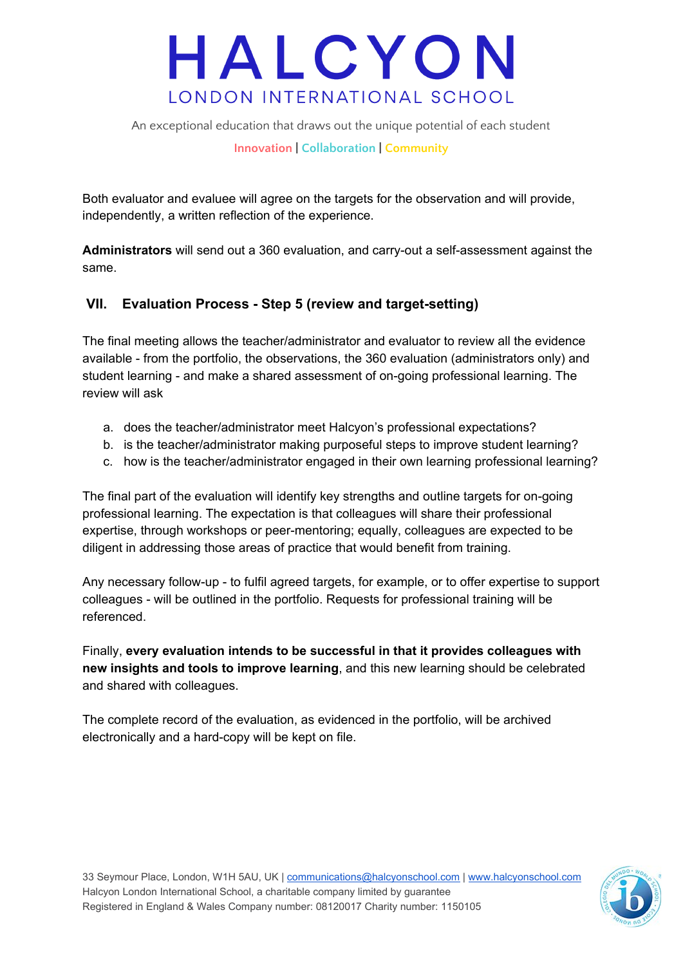An exceptional education that draws out the unique potential of each student

**Innovation | Collaboration | Community**

Both evaluator and evaluee will agree on the targets for the observation and will provide, independently, a written reflection of the experience.

**Administrators** will send out a 360 evaluation, and carry-out a self-assessment against the same.

#### **VII. Evaluation Process - Step 5 (review and target-setting)**

The final meeting allows the teacher/administrator and evaluator to review all the evidence available - from the portfolio, the observations, the 360 evaluation (administrators only) and student learning - and make a shared assessment of on-going professional learning. The review will ask

- a. does the teacher/administrator meet Halcyon's professional expectations?
- b. is the teacher/administrator making purposeful steps to improve student learning?
- c. how is the teacher/administrator engaged in their own learning professional learning?

The final part of the evaluation will identify key strengths and outline targets for on-going professional learning. The expectation is that colleagues will share their professional expertise, through workshops or peer-mentoring; equally, colleagues are expected to be diligent in addressing those areas of practice that would benefit from training.

Any necessary follow-up - to fulfil agreed targets, for example, or to offer expertise to support colleagues - will be outlined in the portfolio. Requests for professional training will be referenced.

Finally, **every evaluation intends to be successful in that it provides colleagues with new insights and tools to improve learning**, and this new learning should be celebrated and shared with colleagues.

The complete record of the evaluation, as evidenced in the portfolio, will be archived electronically and a hard-copy will be kept on file.